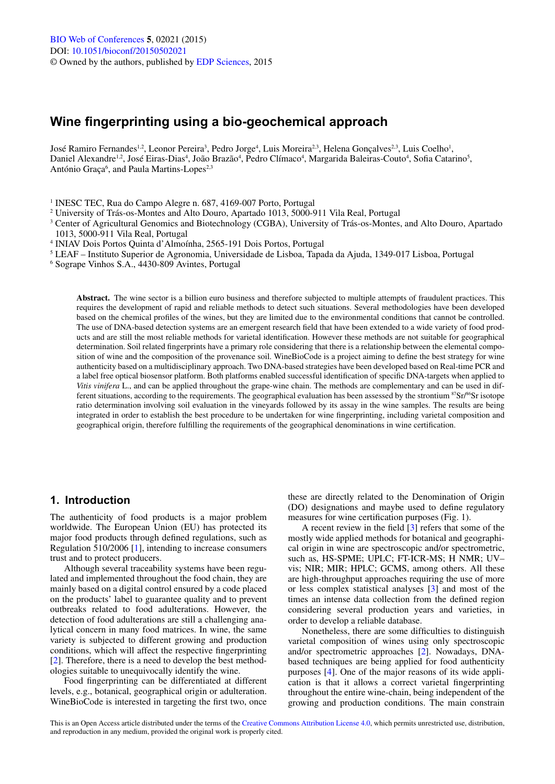# **Wine fingerprinting using a bio-geochemical approach**

José Ramiro Fernandes<sup>1,2</sup>, Leonor Pereira<sup>3</sup>, Pedro Jorge<sup>4</sup>, Luis Moreira<sup>2,3</sup>, Helena Gonçalves<sup>2,3</sup>, Luis Coelho<sup>1</sup>, Daniel Alexandre<sup>1,2</sup>, José Eiras-Dias<sup>4</sup>, João Brazão<sup>4</sup>, Pedro Clímaco<sup>4</sup>, Margarida Baleiras-Couto<sup>4</sup>, Sofia Catarino<sup>5</sup>, António Graça<sup>6</sup>, and Paula Martins-Lopes<sup>2,3</sup>

<sup>1</sup> INESC TEC, Rua do Campo Alegre n. 687, 4169-007 Porto, Portugal

2 University of Trás-os-Montes and Alto Douro, Apartado 1013, 5000-911 Vila Real, Portugal

- <sup>3</sup> Center of Agricultural Genomics and Biotechnology (CGBA), University of Trás-os-Montes, and Alto Douro, Apartado 1013, 5000-911 Vila Real, Portugal
- 4 INIAV Dois Portos Quinta d'Almoínha, 2565-191 Dois Portos, Portugal
- 5 LEAF Instituto Superior de Agronomia, Universidade de Lisboa, Tapada da Ajuda, 1349-017 Lisboa, Portugal

6 Sogrape Vinhos S.A., 4430-809 Avintes, Portugal

**Abstract.** The wine sector is a billion euro business and therefore subjected to multiple attempts of fraudulent practices. This requires the development of rapid and reliable methods to detect such situations. Several methodologies have been developed based on the chemical profiles of the wines, but they are limited due to the environmental conditions that cannot be controlled. The use of DNA-based detection systems are an emergent research field that have been extended to a wide variety of food products and are still the most reliable methods for varietal identification. However these methods are not suitable for geographical determination. Soil related fingerprints have a primary role considering that there is a relationship between the elemental composition of wine and the composition of the provenance soil. WineBioCode is a project aiming to define the best strategy for wine authenticity based on a multidisciplinary approach. Two DNA-based strategies have been developed based on Real-time PCR and a label free optical biosensor platform. Both platforms enabled successful identification of specific DNA-targets when applied to *Vitis vinifera* L., and can be applied throughout the grape-wine chain. The methods are complementary and can be used in different situations, according to the requirements. The geographical evaluation has been assessed by the strontium 87Sr/86Sr isotope ratio determination involving soil evaluation in the vineyards followed by its assay in the wine samples. The results are being integrated in order to establish the best procedure to be undertaken for wine fingerprinting, including varietal composition and geographical origin, therefore fulfilling the requirements of the geographical denominations in wine certification.

# **1. Introduction**

The authenticity of food products is a major problem worldwide. The European Union (EU) has protected its major food products through defined regulations, such as Regulation 510/2006 [[1\]](#page-3-0), intending to increase consumers trust and to protect producers.

Although several traceability systems have been regulated and implemented throughout the food chain, they are mainly based on a digital control ensured by a code placed on the products' label to guarantee quality and to prevent outbreaks related to food adulterations. However, the detection of food adulterations are still a challenging analytical concern in many food matrices. In wine, the same variety is subjected to different growing and production conditions, which will affect the respective fingerprinting [\[2](#page-3-1)]. Therefore, there is a need to develop the best methodologies suitable to unequivocally identify the wine.

Food fingerprinting can be differentiated at different levels, e.g., botanical, geographical origin or adulteration. WineBioCode is interested in targeting the first two, once

these are directly related to the Denomination of Origin (DO) designations and maybe used to define regulatory measures for wine certification purposes (Fig. 1).

A recent review in the field [[3\]](#page-3-2) refers that some of the mostly wide applied methods for botanical and geographical origin in wine are spectroscopic and/or spectrometric, such as, HS-SPME; UPLC; FT-ICR-MS; H NMR; UV– vis; NIR; MIR; HPLC; GCMS, among others. All these are high-throughput approaches requiring the use of more or less complex statistical analyses [\[3](#page-3-2)] and most of the times an intense data collection from the defined region considering several production years and varieties, in order to develop a reliable database.

Nonetheless, there are some difficulties to distinguish varietal composition of wines using only spectroscopic and/or spectrometric approaches [[2\]](#page-3-1). Nowadays, DNAbased techniques are being applied for food authenticity purposes [\[4](#page-3-3)]. One of the major reasons of its wide application is that it allows a correct varietal fingerprinting throughout the entire wine-chain, being independent of the growing and production conditions. The main constrain

This is an Open Access article distributed under the terms of the [Creative Commons Attribution License 4.0](http://creativecommons.org/licenses/by/4.0/), which permits unrestricted use, distribution, and reproduction in any medium, provided the original work is properly cited.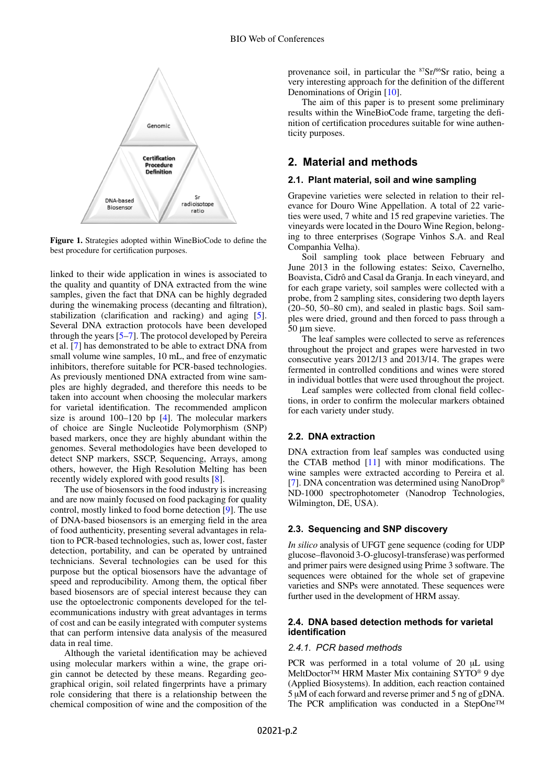

**Figure 1.** Strategies adopted within WineBioCode to define the best procedure for certification purposes.

linked to their wide application in wines is associated to the quality and quantity of DNA extracted from the wine samples, given the fact that DNA can be highly degraded during the winemaking process (decanting and filtration), stabilization (clarification and racking) and aging [[5\]](#page-3-4). Several DNA extraction protocols have been developed through the years [[5–](#page-3-4)[7\]](#page-3-5). The protocol developed by Pereira et al. [\[7](#page-3-5)] has demonstrated to be able to extract DNA from small volume wine samples, 10 mL, and free of enzymatic inhibitors, therefore suitable for PCR-based technologies. As previously mentioned DNA extracted from wine samples are highly degraded, and therefore this needs to be taken into account when choosing the molecular markers for varietal identification. The recommended amplicon size is around 100–120 bp [[4\]](#page-3-3). The molecular markers of choice are Single Nucleotide Polymorphism (SNP) based markers, once they are highly abundant within the genomes. Several methodologies have been developed to detect SNP markers, SSCP, Sequencing, Arrays, among others, however, the High Resolution Melting has been recently widely explored with good results [\[8](#page-3-6)].

The use of biosensors in the food industry is increasing and are now mainly focused on food packaging for quality control, mostly linked to food borne detection [\[9](#page-3-7)]. The use of DNA-based biosensors is an emerging field in the area of food authenticity, presenting several advantages in relation to PCR-based technologies, such as, lower cost, faster detection, portability, and can be operated by untrained technicians. Several technologies can be used for this purpose but the optical biosensors have the advantage of speed and reproducibility. Among them, the optical fiber based biosensors are of special interest because they can use the optoelectronic components developed for the telecommunications industry with great advantages in terms of cost and can be easily integrated with computer systems that can perform intensive data analysis of the measured data in real time.

Although the varietal identification may be achieved using molecular markers within a wine, the grape origin cannot be detected by these means. Regarding geographical origin, soil related fingerprints have a primary role considering that there is a relationship between the chemical composition of wine and the composition of the provenance soil, in particular the <sup>87</sup>Sr/<sup>86</sup>Sr ratio, being a very interesting approach for the definition of the different Denominations of Origin [\[10](#page-3-8)].

The aim of this paper is to present some preliminary results within the WineBioCode frame, targeting the definition of certification procedures suitable for wine authenticity purposes.

# **2. Material and methods**

# **2.1. Plant material, soil and wine sampling**

Grapevine varieties were selected in relation to their relevance for Douro Wine Appellation. A total of 22 varieties were used, 7 white and 15 red grapevine varieties. The vineyards were located in the Douro Wine Region, belonging to three enterprises (Sogrape Vinhos S.A. and Real Companhia Velha).

Soil sampling took place between February and June 2013 in the following estates: Seixo, Cavernelho, Boavista, Cidrô and Casal da Granja. In each vineyard, and for each grape variety, soil samples were collected with a probe, from 2 sampling sites, considering two depth layers (20–50, 50–80 cm), and sealed in plastic bags. Soil samples were dried, ground and then forced to pass through a 50 um sieve.

The leaf samples were collected to serve as references throughout the project and grapes were harvested in two consecutive years 2012/13 and 2013/14. The grapes were fermented in controlled conditions and wines were stored in individual bottles that were used throughout the project.

Leaf samples were collected from clonal field collections, in order to confirm the molecular markers obtained for each variety under study.

### **2.2. DNA extraction**

DNA extraction from leaf samples was conducted using the CTAB method [[11\]](#page-3-9) with minor modifications. The wine samples were extracted according to Pereira et al. [\[7](#page-3-5)]. DNA concentration was determined using NanoDrop® ND-1000 spectrophotometer (Nanodrop Technologies, Wilmington, DE, USA).

## **2.3. Sequencing and SNP discovery**

*In silico* analysis of UFGT gene sequence (coding for UDP glucose–flavonoid 3-O-glucosyl-transferase) was performed and primer pairs were designed using Prime 3 software. The sequences were obtained for the whole set of grapevine varieties and SNPs were annotated. These sequences were further used in the development of HRM assay.

#### **2.4. DNA based detection methods for varietal identification**

## *2.4.1. PCR based methods*

PCR was performed in a total volume of 20  $\mu$ L using MeltDoctor™ HRM Master Mix containing SYTO® 9 dye (Applied Biosystems). In addition, each reaction contained 5 µM of each forward and reverse primer and 5 ng of gDNA. The PCR amplification was conducted in a StepOne™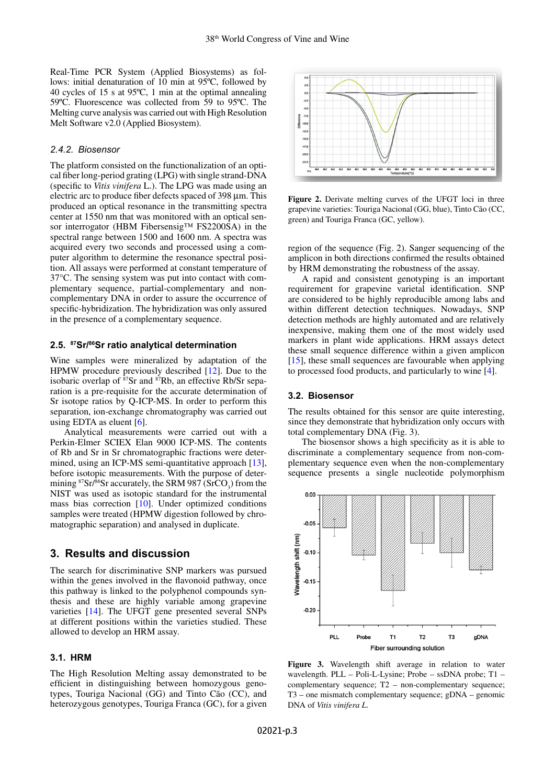Real-Time PCR System (Applied Biosystems) as follows: initial denaturation of 10 min at 95ºC, followed by 40 cycles of 15 s at 95ºC, 1 min at the optimal annealing 59ºC. Fluorescence was collected from 59 to 95ºC. The Melting curve analysis was carried out with High Resolution Melt Software v2.0 (Applied Biosystem).

### *2.4.2. Biosensor*

The platform consisted on the functionalization of an optical fiber long-period grating (LPG) with single strand-DNA (specific to *Vitis vinifera* L.). The LPG was made using an electric arc to produce fiber defects spaced of 398 µm. This produced an optical resonance in the transmitting spectra center at 1550 nm that was monitored with an optical sensor interrogator (HBM Fibersensig™ FS2200SA) in the spectral range between 1500 and 1600 nm. A spectra was acquired every two seconds and processed using a computer algorithm to determine the resonance spectral position. All assays were performed at constant temperature of 37°C. The sensing system was put into contact with complementary sequence, partial-complementary and noncomplementary DNA in order to assure the occurrence of specific-hybridization. The hybridization was only assured in the presence of a complementary sequence.

#### **2.5. <sup>87</sup>Sr/<sup>86</sup>Sr ratio analytical determination**

Wine samples were mineralized by adaptation of the HPMW procedure previously described [[12\]](#page-3-10). Due to the isobaric overlap of  $87$ Sr and  $87$ Rb, an effective Rb/Sr separation is a pre-requisite for the accurate determination of Sr isotope ratios by Q-ICP-MS. In order to perform this separation, ion-exchange chromatography was carried out using EDTA as eluent [\[6](#page-3-11)].

Analytical measurements were carried out with a Perkin-Elmer SCIEX Elan 9000 ICP-MS. The contents of Rb and Sr in Sr chromatographic fractions were determined, using an ICP-MS semi-quantitative approach [\[13](#page-3-12)], before isotopic measurements. With the purpose of determining  $87\text{Sr}/86\text{Sr}$  accurately, the SRM 987 (SrCO<sub>3</sub>) from the NIST was used as isotopic standard for the instrumental mass bias correction [[10\]](#page-3-8). Under optimized conditions samples were treated (HPMW digestion followed by chromatographic separation) and analysed in duplicate.

# **3. Results and discussion**

The search for discriminative SNP markers was pursued within the genes involved in the flavonoid pathway, once this pathway is linked to the polyphenol compounds synthesis and these are highly variable among grapevine varieties [\[14](#page-3-13)]. The UFGT gene presented several SNPs at different positions within the varieties studied. These allowed to develop an HRM assay.

# **3.1. HRM**

The High Resolution Melting assay demonstrated to be efficient in distinguishing between homozygous genotypes, Touriga Nacional (GG) and Tinto Cão (CC), and heterozygous genotypes, Touriga Franca (GC), for a given



Figure 2. Derivate melting curves of the UFGT loci in three grapevine varieties: Touriga Nacional (GG, blue), Tinto Cão (CC, green) and Touriga Franca (GC, yellow).

region of the sequence (Fig. 2). Sanger sequencing of the amplicon in both directions confirmed the results obtained by HRM demonstrating the robustness of the assay.

A rapid and consistent genotyping is an important requirement for grapevine varietal identification. SNP are considered to be highly reproducible among labs and within different detection techniques. Nowadays, SNP detection methods are highly automated and are relatively inexpensive, making them one of the most widely used markers in plant wide applications. HRM assays detect these small sequence difference within a given amplicon [\[15](#page-3-14)], these small sequences are favourable when applying to processed food products, and particularly to wine [[4\]](#page-3-3).

# **3.2. Biosensor**

The results obtained for this sensor are quite interesting, since they demonstrate that hybridization only occurs with total complementary DNA (Fig. 3).

The biosensor shows a high specificity as it is able to discriminate a complementary sequence from non-complementary sequence even when the non-complementary sequence presents a single nucleotide polymorphism



**Figure 3.** Wavelength shift average in relation to water wavelength. PLL – Poli-L-Lysine; Probe – ssDNA probe; T1 – complementary sequence; T2 – non-complementary sequence; T3 – one mismatch complementary sequence; gDNA – genomic DNA of *Vitis vinifera L*.